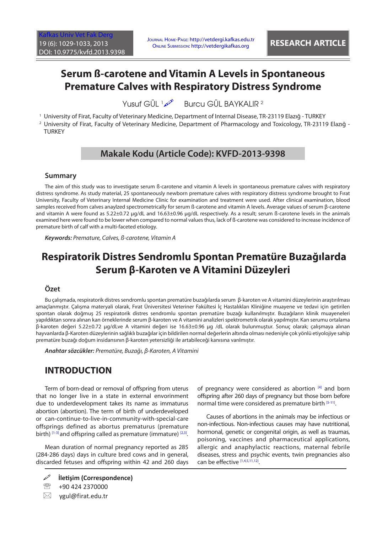## **Serum ß-carotene and Vitamin A Levels in Spontaneous Premature Calves with Respiratory Distress Syndrome**

Yusuf GÜL 1 Burcu GÜL BAYKALIR 2

1 University of Firat, Faculty of Veterinary Medicine, Department of Internal Disease, TR-23119 Elazığ - TURKEY

2 University of Firat, Faculty of Veterinary Medicine, Department of Pharmacology and Toxicology, TR-23119 Elazığ - **TURKEY** 

## **Makale Kodu (Article Code): KVFD-2013-9398**

#### **Summary**

The aim of this study was to investigate serum ß-carotene and vitamin A levels in spontaneous premature calves with respiratory distress syndrome. As study material, 25 spontaneously newborn premature calves with respiratory distress syndrome brought to Fırat University, Faculty of Veterinary Internal Medicine Clinic for examination and treatment were used. After clinical examination, blood samples received from calves anaylzed spectrometrically for serum ß-carotene and vitamin A levels. Average values of serum β-carotene and vitamin A were found as 5.22±0.72 µg/dL and 16.63±0.96 µg/dL respectively. As a result; serum ß-carotene levels in the animals examined here were found to be lower when compared to normal values thus, lack of ß-carotene was considered to increase incidence of premature birth of calf with a multi-faceted etiology.

*Keywords: Premature, Calves, ß-carotene, Vitamin A*

# **Respiratorik Distres Sendromlu Spontan Prematüre Buzağılarda Serum β-Karoten ve A Vitamini Düzeyleri**

#### **Özet**

Bu çalışmada, respiratorik distres sendromlu spontan prematüre buzağılarda serum β-karoten ve A vitamini düzeylerinin araştırılması amaçlanmıştır. Çalışma materyali olarak, Fırat Üniversitesi Veteriner Fakültesi İç Hastalıkları Kliniğine muayene ve tedavi için getirilen spontan olarak doğmuş 25 respiratorik distres sendromlu spontan prematüre buzağı kullanılmıştır. Buzağıların klinik muayeneleri yapıldıktan sonra alınan kan örneklerinde serum β-karoten ve A vitamini analizleri spektrometrik olarak yapılmıştır. Kan serumu ortalama β-karoten değeri 5.22±0.72 µg/dLve A vitamini değeri ise 16.63±0.96 µg /dL olarak bulunmuştur. Sonuç olarak; çalışmaya alınan hayvanlarda β-Karoten düzeylerinin sağlıklı buzağılar için bildirilen normal değerlerin altında olması nedeniyle çok yönlü etiyolojiye sahip prematüre buzağı doğum insidansının β-karoten yetersizliği ile artabileceği kanısına varılmıştır.

*Anahtar sözcükler: Prematüre, Buzağı, β-Karoten, A Vitamini*

#### **INTRODUCTION**

Term of born-dead or removal of offspring from uterus that no longer live in a state in external envorinment due to underdevelopment takes its name as immaturus abortion (abortion). The term of birth of underdeveloped or can-continue-to-live-in-community-with-special-care offsprings defined as abortus prematurus (premature birth)  $[1-3]$  and offspring called as premature (immature)  $[2,3]$ .

Mean duration of normal pregnancy reported as 285 (284-286 days) days in culture bred cows and in general, discarded fetuses and offspring within 42 and 260 days of pregnancy were considered as abortion  $[4]$  $[4]$  and born offspring after 260 days of pregnancy but those born before normal time were considered as premature birth [\[5-](#page-3-0)[11\].](#page-4-0)

Causes of abortions in the animals may be infectious or non-infectious. Non-infectious causes may have nutritional, hormonal, genetic or congenital origin, as well as traumas, poisoning, vaccines and pharmaceutical applications, allergic and anaphylactic reactions, maternal febrile diseases, stress and psychic events, twin pregnancies also can be effective [\[1,4,5](#page-3-0),[11,12\].](#page-4-0)

**İletişim (Correspondence)**

<sup>&</sup>lt;sup>2</sup> +90 424 2370000

 $\boxtimes$  ygul@firat.edu.tr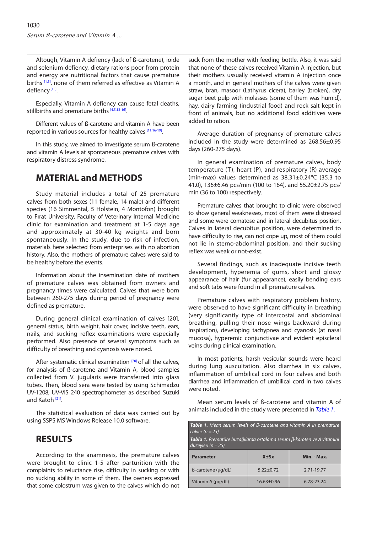<span id="page-1-0"></span>Altough, Vitamin A defiency (lack of ß-carotene), ioide and selenium defiency, dietary rations poor from protein and energy are nutritional factors that cause premature births [\[1,5\],](#page-3-0) none of them referred as effective as Vitamin A defiency<sup>[13]</sup>.

Especially, Vitamin A defiency can cause fetal deaths, stillbirths and premature births [[4,5,13-16\].](#page-4-0)

Different values of ß-carotene and vitamin A have been reported in various sources for healthy calves [\[11,16-19\].](#page-4-0)

In this study, we aimed to investigate serum ß-carotene and vitamin A levels at spontaneous premature calves with respiratory distress syndrome.

### **MATERIAL and METHODS**

Study material includes a total of 25 premature calves from both sexes (11 female, 14 male) and different species (16 Simmental, 5 Holstein, 4 Montofon) brought to Fırat University, Faculty of Veterinary Internal Medicine clinic for examination and treatment at 1-5 days age and approximately at 30-40 kg weights and born spontaneously. In the study, due to risk of infection, materials here selected from enterprises with no abortion history. Also, the mothers of premature calves were said to be healthy before the events.

Information about the insemination date of mothers of premature calves was obtained from owners and pregnancy times were calculated. Calves that were born between 260-275 days during period of pregnancy were defined as premature.

During general clinical examination of calves [20], general status, birth weight, hair cover, incisive teeth, ears, nails, and sucking reflex examinations were especially performed. Also presence of several symptoms such as difficulty of breathing and cyanosis were noted.

After systematic clinical examination  $[20]$  of all the calves, for analysis of ß-carotene and Vitamin A, blood samples collected from V. jugularis were transferred into glass tubes. Then, blood sera were tested by using Schimadzu UV-1208, UV-VIS 240 spectrophometer as described Suzuki and Katoh<sup>[21]</sup>.

The statistical evaluation of data was carried out by using SSPS MS Windows Release 10.0 software.

#### **RESULTS**

According to the anamnesis, the premature calves were brought to clinic 1-5 after parturition with the complaints to reluctance rise, difficulty in sucking or with no sucking ability in some of them. The owners expressed that some colostrum was given to the calves which do not suck from the mother with feeding bottle. Also, it was said that none of these calves received Vitamin A injection, but their mothers ussually received vitamin A injection once a month, and in general mothers of the calves were given straw, bran, masoor (Lathyrus cicera), barley (broken), dry sugar beet pulp with molasses (some of them was humid), hay, dairy farming (industrial food) and rock salt kept in front of animals, but no additional food additives were added to ration.

Average duration of pregnancy of premature calves included in the study were determined as 268.56±0.95 days (260-275 days).

In general examination of premature calves, body temperature (T), heart (P), and respiratory (R) average (min-max) values determined as 38.31±0.24ºC (35.3 to 41.0), 136±6.46 pcs/min (100 to 164), and 55.20±2.75 pcs/ min (36 to 100) respectively.

Premature calves that brought to clinic were observed to show general weaknesses, most of them were distressed and some were comatose and in lateral decubitus position. Calves in lateral decubitus position, were determined to have difficulty to rise, can not cope up, most of them could not lie in sterno-abdominal position, and their sucking reflex was weak or not-exist.

Several findings, such as inadequate incisive teeth development, hyperemia of gums, short and glossy appearance of hair (fur appearance), easily bending ears and soft tabs were found in all premature calves.

Premature calves with respiratory problem history, were observed to have significant difficulty in breathing (very significantly type of intercostal and abdominal breathing, pulling their nose wings backward during inspiration), developing tachypnea and cyanosis (at nasal mucosa), hyperemic conjunctivae and evident episcleral veins during clinical examination.

In most patients, harsh vesicular sounds were heard during lung auscultation. Also diarrhea in six calves, inflammation of umbilical cord in four calves and both diarrhea and inflammation of umbilical cord in two calves were noted.

Mean serum levels of ß-carotene and vitamin A of animals included in the study were presented in *Table 1*.

| <b>Table 1.</b> Mean serum levels of B-carotene and vitamin A in premature<br>calves $(n = 25)$        |                  |             |
|--------------------------------------------------------------------------------------------------------|------------------|-------------|
| <b>Tablo 1.</b> Prematüre buzağılarda ortalama serum β-karoten ve A vitamini<br>düzeyleri ( $n = 25$ ) |                  |             |
| <b>Parameter</b>                                                                                       | $X \pm Sx$       | Min. - Max. |
| $\beta$ -carotene ( $\mu$ g/dL)                                                                        | $5.22 + 0.72$    | 2.71-19.77  |
| Vitamin A $(\mu q/dL)$                                                                                 | $16.63 \pm 0.96$ | 6.78-23.24  |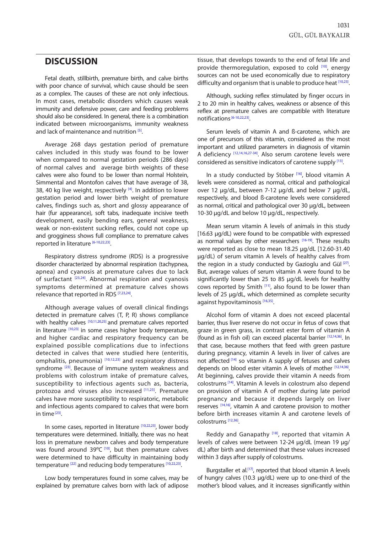### **DISCUSSION**

Fetal death, stillbirth, premature birth, and calve births with poor chance of survival, which cause should be seen as a complex. The causes of these are not only infectious. In most cases, metabolic disorders which causes weak immunity and defensive power, care and feeding problems should also be considered. In general, there is a combination indicated between microorganisms, immunity weakness and lack of maintenance and nutrition <sup>[5]</sup>.

Average 268 days gestation period of premature calves included in this study was found to be lower when compared to normal gestation periods (286 days) of normal calves and average birth weights of these calves were also found to be lower than normal Holstein, Simmental and Montofon calves that have average of 38, 38, 40 kg live weight, respectively  $[4]$ . In addition to lower gestation period and lower birth weight of premature calves, findings such as, short and glossy appearance of hair (fur appearance), soft tabs, inadequate incisive teeth development, easily bending ears, general weakness, weak or non-existent sucking reflex, could not cope up and grogginess shows full compliance to premature calves reported in literature [\[6-10,22,23\].](#page-4-0)

Respiratory distress syndrome (RDS) is a progressive disorder characterized by abnormal respiration (tachypnea, apnea) and cyanosis at premature calves due to lack of surfactant [[23,24\].](#page-4-0) Abnormal respiration and cyanosis symptoms determined at premature calves shows relevance that reported in RDS [\[7,23,24\].](#page-4-0)

Although average values of overall clinical findings detected in premature calves (T, P, R) shows compliance with healthy calves [\[10,11,20,25\]](#page-4-0) and premature calves reported in literature  $[10,23]$  in some cases higher body temperature, and higher cardiac and respiratory frequency can be explained possible complications due to infections detected in calves that were studied here (enteritis, omphalitis, pneumonia) [\[10,12,23\]](#page-4-0) and respiratory distress syndrome<sup>[23]</sup>. Because of immune system weakness and problems with colostrum intake of premature calves, susceptibility to infectious agents such as, bacteria, protozoa and viruses also increased [[11](#page-4-0),[23\]](#page-4-0). Premature calves have more susceptibility to respiratoric, metabolic and infectious agents compared to calves that were born in time $[23]$ .

In some cases, reported in literature [\[10,22,23\],](#page-4-0) lower body temperatures were determined. Initially, there was no heat loss in premature newborn calves and body temperature was found around  $39^{\circ}C^{[10]}$ , but then premature calves were determined to have difficulty in maintaining body temperature <sup>[[22\]](#page-4-0)</sup> and reducing body temperatures [10,22,23].

Low body temperatures found in some calves, may be explained by premature calves born with lack of adipose tissue, that develops towards to the end of fetal life and provide thermoregulation, exposed to cold  $[10]$ , energy sources can not be used economically due to respiratory difficulty and organism that is unable to produce heat [10,23].

Although, sucking reflex stimulated by finger occurs in 2 to 20 min in healthy calves, weakness or absence of this reflex at premature calves are compatible with literature notifications<sup>[6-10,22,23]</sup>.

Serum levels of vitamin A and ß-carotene, which are one of precursors of this vitamin, considered as the most important and utilized parameters in diagnosis of vitamin A deficiency [\[12,14,16,27-34\]](#page-4-0). Also serum carotene levels were considered as sensitive indicators of carotene supply [[13\].](#page-4-0)

In a study conducted by Stöber [\[16\],](#page-4-0) blood vitamin A levels were considered as normal, critical and pathological over 12 µg/dL, between 7-12 µg/dL and below 7 µg/dL, respectively, and blood ß-carotene levels were considered as normal, critical and pathological over 30 µg/dL, between 10-30  $\mu$ g/dL and below 10  $\mu$ g/dL, respectively.

Mean serum vitamin A levels of animals in this study [16.63 µg/dL) were found to be compatible with expressed as normal values by other researchers [\[16-19\]](#page-4-0). These results were reported as close to mean 18.25 µg/dL [12.60-31.40 µg/dL) of serum vitamin A levels of healthy calves from the region in a study conducted by Gazioglu and Gül  $[27]$ . But, average values of serum vitamin A were found to be significantly lower than 25 to 85 µg/dL levels for healthy cows reported by Smith [\[11\],](#page-4-0) also found to be lower than levels of 25 µg/dL, which determined as complete security against hypovitaminosis [\[16,35\].](#page-4-0)

Alcohol form of vitamin A does not exceed placental barrier, thus liver reserve do not occur in fetus of cows that graze in green grass, in contrast ester form of vitamin A (found as in fish oil) can exceed placental barrier [[12,14,36\].](#page-4-0) In that case, because mothers that feed with green pasture during pregnancy, vitamin A levels in liver of calves are not affected <sup>[14]</sup> so vitamin A supply of fetuses and calves depends on blood ester vitamin A levels of mother [[12,14,36\].](#page-4-0)  At beginning, calves provide their vitamin A needs from colostrums[\[14\].](#page-4-0) Vitamin A levels in colostrum also depend on provision of vitamin A of mother during late period pregnancy and because it depends largely on liver reserves [[14,16\],](#page-4-0) vitamin A and carotene provision to mother before birth increases vitamin A and carotene levels of colostrums [[12,36\].](#page-4-0) 

Reddy and Ganapathy<sup>[18]</sup>, reported that vitamin A levels of calves were between 12-24 µg/dL (mean 19 µg/ dL) after birth and determined that these values increased within 3 days after supply of colostrums.

Burgstaller et al.<sup>[17]</sup>, reported that blood vitamin A levels of hungry calves (10.3 µg/dL) were up to one-third of the mother's blood values, and it increases significantly within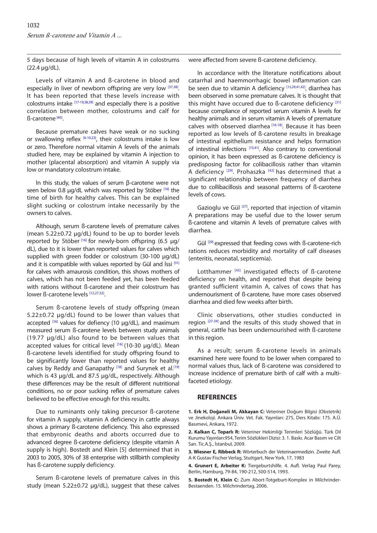<span id="page-3-0"></span>5 days because of high levels of vitamin A in colostrums (22.4 µg/dL).

Levels of vitamin A and ß-carotene in blood and especially in liver of newborn offspring are very low [\[37,38\].](#page-4-0) It has been reported that these levels increase with colostrums intake  $[17-19,38,39]$  and especially there is a positive correlation between mother, colostrums and calf for ß-carotene [[40\].](#page-4-0) 

Because premature calves have weak or no sucking or swallowing reflex  $[6-10,23]$ , their colostrums intake is low or zero. Therefore normal vitamin A levels of the animals studied here, may be explained by vitamin A injection to mother (placental absorption) and vitamin A supply via low or mandatory colostrum intake.

In this study, the values of serum β-carotene were not seen below 0.8 ug/dL which was reported by Stöber [\[16\]](#page-4-0) the time of birth for healthy calves. This can be explained slight sucking or colostrum intake necessarily by the owners to calves.

Although, serum ß-carotene levels of premature calves (mean 5.22±0.72 µg/dL) found to be up to border levels reported by Stöber<sup>[[16\]](#page-4-0)</sup> for newly-born offspring (6.5 µg/ dL), due to it is lower than reported values for calves which supplied with green fodder or colostrum (30-100 µg/dL) and it is compatible with values reported by Gül and İssi [\[31\]](#page-4-0) for calves with amaurosis condition, this shows mothers of calves, which has not been feeded yet, has been feeded with rations without ß-carotene and their colostrum has lower ß-carotene levels [12,27,32].

Serum ß-carotene levels of study offspring (mean 5.22±0.72 µg/dL) found to be lower than values that accepted <sup>[\[16\]](#page-4-0)</sup> values for defiency (10 µg/dL), and maximum measured serum ß-carotene levels between study animals (19.77 µg/dL) also found to be between values that accepted values for critical level  $[16]$  (10-30  $\mu$ g/dL). Mean ß-carotene levels identified for study offspring found to be significantly lower than reported values for healthy calves by Reddy and Ganapathy [\[18\]](#page-4-0) and Surynek et al.<sup>[[19\]](#page-4-0)</sup> which is 43 µg/dL and 87.5 µg/dL, respectively. Although these differences may be the result of different nutritional conditions, no or poor sucking reflex of premature calves believed to be effective enough for this results.

Due to ruminants only taking precursor ß-carotene for vitamin A supply, vitamin A deficiency in cattle always shows a primary ß-carotene deficiency. This also expressed that embyronic deaths and aborts occurred due to advanced degree ß-carotene deficiency (despite vitamin A supply is high). Bostedt and Klein [5] determined that in 2003 to 2005, 30% of 38 enterprise with stillbirth complexity has ß-carotene supply deficiency.

Serum ß-carotene levels of premature calves in this study (mean 5.22±0.72 µg/dL), suggest that these calves were affected from severe ß-carotene deficiency.

In accordance with the literature notifications about catarrhal and haemmorrhagic bowel inflammation can be seen due to vitamin A deficiency [\[15,29,41,42\]](#page-4-0), diarrhea has been observed in some premature calves. It is thought that this might have occured due to B-carotene deficiency [[31\]](#page-4-0) because compliance of reported serum vitamin A levels for healthy animals and in serum vitamin A levels of premature calves with observed diarrhea<sup>[16-18]</sup>. Because it has been reported as low levels of ß-carotene results in breakage of intestinal epithelium resistance and helps formation of intestinal infections [\[15,41\].](#page-4-0) Also contrary to conventional opinion, it has been expressed as ß-carotene deficiency is predisposing factor for colibacillosis rather than vitamin A deficiency  $[29]$ . Prohaszka  $[42]$  has determined that a significant relationship between frequency of diarrhea due to collibacillosis and seasonal patterns of ß-carotene levels of cows.

Gazioglu ve Gül <a>[27]</a>, reported that injection of vitamin A preparations may be useful due to the lower serum ß-carotene and vitamin A levels of premature calves with diarrhea.

Gül <sup>[\[29\]](#page-4-0)</sup> expressed that feeding cows with ß-carotene-rich rations reduces morbidity and mortality of calf diseases (enteritis, neonatal, septicemia).

Lotthammer<sup>[\[43\]](#page-4-0)</sup> investigated effects of ß-carotene deficiency on health, and reported that despite being granted sufficient vitamin A, calves of cows that has undernourisment of ß-carotene, have more cases observed diarrhea and died few weeks after birth.

Clinic observations, other studies conducted in region <sup>[\[27-34\]](#page-4-0)</sup> and the results of this study showed that in general, cattle has been undernourished with ß-carotene in this region.

As a result; serum ß-carotene levels in animals examined here were found to be lower when compared to normal values thus, lack of ß-carotene was considered to increase incidence of premature birth of calf with a multifaceted etiology.

#### **REFERENCES**

**1. Erk H, Doğaneli M, Akkayan C:** Veteriner Doğum Bilgisi (Obstetrik) ve Jinekoloji. Ankara Üniv. Vet. Fak. Yayınları: 275, Ders Kitabı: 175. A.Ü. Basımevi, Ankara, 1972.

**2. Kalkan C, Toparlı R:** Veteriner Hekimliği Terimleri Sözlüğü. Türk Dil Kurumu Yayınları:954, Terim Sözlükleri Dizisi: 3. 1. Baskı. Acar Basım ve Cilt San. Tic.A.Ş., İstanbul, 2009.

**3. Wiesner E, Ribbeck R:** Wörterbuch der Veterinaermedizin. Zweite Aufl. A-K Gustav Fischer Verlag, Stuttgart, New York. 17, 1983

**4. Grunert E, Arbeiter K:** Tiergeburtshilfe. 4. Aufl. Verlag Paul Parey, Berlin, Hamburg, 79-84, 190-212, 500-514, 1993.

**5. Bostedt H, Klein C:** Zum Abort-Totgeburt-Komplex in Milchrinder-Bestaenden. 15. Milchrindertag, 2006.